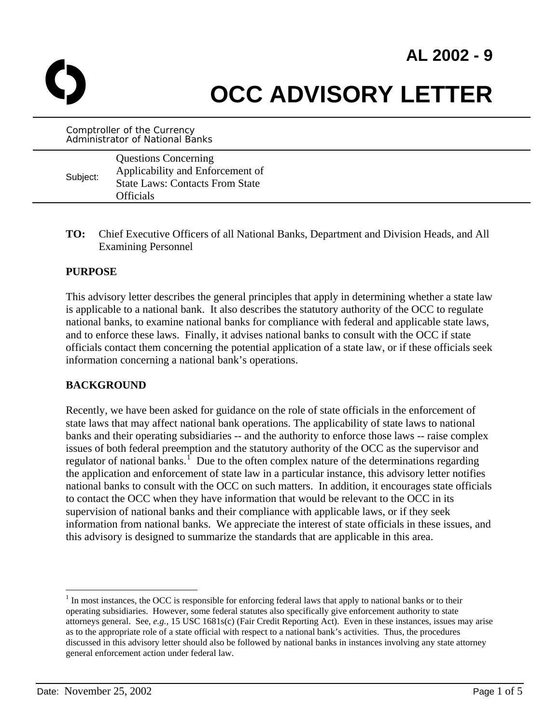# **AL 2002 - 9**



# **OCC ADVISORY LETTER**

Comptroller of the Currency Administrator of National Banks

| Subject: | <b>Questions Concerning</b><br>Applicability and Enforcement of<br><b>State Laws: Contacts From State</b><br>Officials |
|----------|------------------------------------------------------------------------------------------------------------------------|
|          |                                                                                                                        |

**TO:** Chief Executive Officers of all National Banks, Department and Division Heads, and All Examining Personnel

#### **PURPOSE**

This advisory letter describes the general principles that apply in determining whether a state law is applicable to a national bank. It also describes the statutory authority of the OCC to regulate national banks, to examine national banks for compliance with federal and applicable state laws, and to enforce these laws. Finally, it advises national banks to consult with the OCC if state officials contact them concerning the potential application of a state law, or if these officials seek information concerning a national bank's operations.

#### **BACKGROUND**

Recently, we have been asked for guidance on the role of state officials in the enforcement of state laws that may affect national bank operations. The applicability of state laws to national banks and their operating subsidiaries -- and the authority to enforce those laws -- raise complex issues of both federal preemption and the statutory authority of the OCC as the supervisor and regulator of national banks.<sup>[1](#page-0-0)</sup> Due to the often complex nature of the determinations regarding the application and enforcement of state law in a particular instance, this advisory letter notifies national banks to consult with the OCC on such matters. In addition, it encourages state officials to contact the OCC when they have information that would be relevant to the OCC in its supervision of national banks and their compliance with applicable laws, or if they seek information from national banks. We appreciate the interest of state officials in these issues, and this advisory is designed to summarize the standards that are applicable in this area.

1

<span id="page-0-0"></span> $<sup>1</sup>$  In most instances, the OCC is responsible for enforcing federal laws that apply to national banks or to their</sup> operating subsidiaries. However, some federal statutes also specifically give enforcement authority to state attorneys general. See*, e.g.,* 15 USC 1681s(c) (Fair Credit Reporting Act). Even in these instances, issues may arise as to the appropriate role of a state official with respect to a national bank's activities. Thus, the procedures discussed in this advisory letter should also be followed by national banks in instances involving any state attorney general enforcement action under federal law.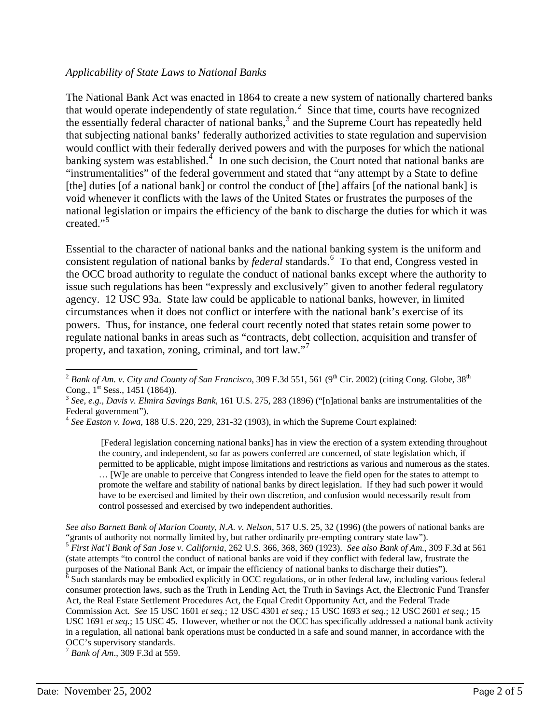#### *Applicability of State Laws to National Banks*

The National Bank Act was enacted in 1864 to create a new system of nationally chartered banks that would operate independently of state regulation.<sup>[2](#page-1-0)</sup> Since that time, courts have recognized the essentially federal character of national banks,<sup>[3](#page-1-1)</sup> and the Supreme Court has repeatedly held that subjecting national banks' federally authorized activities to state regulation and supervision would conflict with their federally derived powers and with the purposes for which the national banking system was established. $\frac{4}{1}$  $\frac{4}{1}$  $\frac{4}{1}$  In one such decision, the Court noted that national banks are "instrumentalities" of the federal government and stated that "any attempt by a State to define [the] duties [of a national bank] or control the conduct of [the] affairs [of the national bank] is void whenever it conflicts with the laws of the United States or frustrates the purposes of the national legislation or impairs the efficiency of the bank to discharge the duties for which it was created." $\frac{1}{2}$ 

Essential to the character of national banks and the national banking system is the uniform and consistent regulation of national banks by *federal* standards.<sup>[6](#page-1-4)</sup> To that end, Congress vested in the OCC broad authority to regulate the conduct of national banks except where the authority to issue such regulations has been "expressly and exclusively" given to another federal regulatory agency. 12 USC 93a. State law could be applicable to national banks, however, in limited circumstances when it does not conflict or interfere with the national bank's exercise of its powers. Thus, for instance, one federal court recently noted that states retain some power to regulate national banks in areas such as "contracts, debt collection, acquisition and transfer of property, and taxation, zoning, criminal, and tort law."<sup>[7](#page-1-5)</sup>

<span id="page-1-0"></span> $\overline{a}$  $^2$  *Bank of Am. v. City and County of San Francisco*, 309 F.3d 551, 561 (9<sup>th</sup> Cir. 2002) (citing Cong. Globe, 38<sup>th</sup> Cong., 1<sup>st</sup> Sess., 1451 (1864)).<br><sup>3</sup> *See, e.g., Davis v. Elmira Savings Bank*, 161 U.S. 275, 283 (1896) ("[n]ational banks are instrumentalities of the

<span id="page-1-1"></span>Federal government").

<span id="page-1-2"></span><sup>4</sup> *See Easton v. Iowa*, 188 U.S. 220, 229, 231-32 (1903), in which the Supreme Court explained:

 <sup>[</sup>Federal legislation concerning national banks] has in view the erection of a system extending throughout the country, and independent, so far as powers conferred are concerned, of state legislation which, if permitted to be applicable, might impose limitations and restrictions as various and numerous as the states. … [W]e are unable to perceive that Congress intended to leave the field open for the states to attempt to promote the welfare and stability of national banks by direct legislation. If they had such power it would have to be exercised and limited by their own discretion, and confusion would necessarily result from control possessed and exercised by two independent authorities.

<span id="page-1-4"></span><span id="page-1-3"></span>*See also Barnett Bank of Marion County, N.A. v. Nelson*, 517 U.S. 25, 32 (1996) (the powers of national banks are "grants of authority not normally limited by, but rather ordinarily pre-empting contrary state law"). <sup>5</sup> *First Nat'l Bank of San Jose v. California*, 262 U.S. 366, 368, 369 (1923). *See also Bank of Am.*, 309 F.3d at 561 (state attempts "to control the conduct of national banks are void if they conflict with federal law, frustrate the purposes of the National Bank Act, or impair the efficiency of national banks to discharge their duties").  $\frac{6}{6}$  Such standards may be embodied explicitly in OCC regulations, or in other federal law, including various federal consumer protection laws, such as the Truth in Lending Act, the Truth in Savings Act, the Electronic Fund Transfer Act, the Real Estate Settlement Procedures Act, the Equal Credit Opportunity Act, and the Federal Trade Commission Act. *See* 15 USC 1601 *et seq.*; 12 USC 4301 *et seq.;* 15 USC 1693 *et seq.*; 12 USC 2601 *et seq.*; 15 USC 1691 *et seq.*; 15 USC 45. However, whether or not the OCC has specifically addressed a national bank activity in a regulation, all national bank operations must be conducted in a safe and sound manner, in accordance with the OCC's supervisory standards.

<span id="page-1-5"></span><sup>7</sup> *Bank of Am*., 309 F.3d at 559.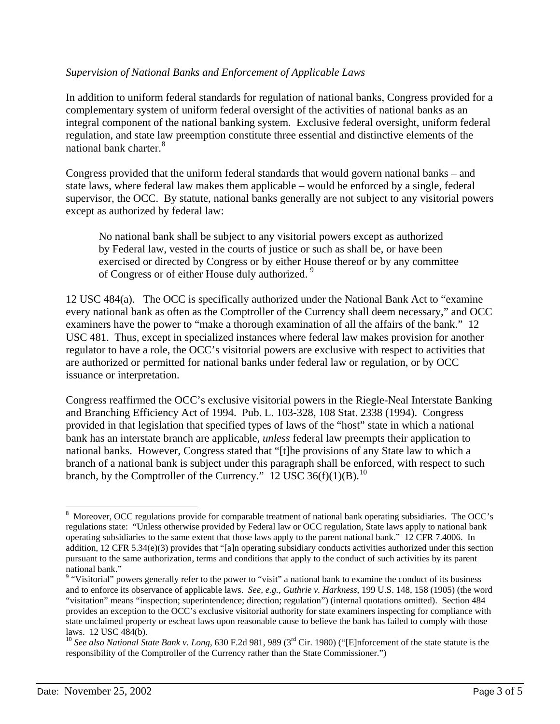#### *Supervision of National Banks and Enforcement of Applicable Laws*

In addition to uniform federal standards for regulation of national banks, Congress provided for a complementary system of uniform federal oversight of the activities of national banks as an integral component of the national banking system. Exclusive federal oversight, uniform federal regulation, and state law preemption constitute three essential and distinctive elements of the national bank charter.<sup>[8](#page-2-0)</sup>

Congress provided that the uniform federal standards that would govern national banks – and state laws, where federal law makes them applicable – would be enforced by a single, federal supervisor, the OCC. By statute, national banks generally are not subject to any visitorial powers except as authorized by federal law:

No national bank shall be subject to any visitorial powers except as authorized by Federal law, vested in the courts of justice or such as shall be, or have been exercised or directed by Congress or by either House thereof or by any committee of Congress or of either House duly authorized.<sup>[9](#page-2-1)</sup>

12 USC 484(a). The OCC is specifically authorized under the National Bank Act to "examine every national bank as often as the Comptroller of the Currency shall deem necessary," and OCC examiners have the power to "make a thorough examination of all the affairs of the bank." 12 USC 481. Thus, except in specialized instances where federal law makes provision for another regulator to have a role, the OCC's visitorial powers are exclusive with respect to activities that are authorized or permitted for national banks under federal law or regulation, or by OCC issuance or interpretation.

Congress reaffirmed the OCC's exclusive visitorial powers in the Riegle-Neal Interstate Banking and Branching Efficiency Act of 1994. Pub. L. 103-328, 108 Stat. 2338 (1994). Congress provided in that legislation that specified types of laws of the "host" state in which a national bank has an interstate branch are applicable, *unless* federal law preempts their application to national banks. However, Congress stated that "[t]he provisions of any State law to which a branch of a national bank is subject under this paragraph shall be enforced, with respect to such branch, by the Comptroller of the Currency."  $12 \text{ USC } 36(f)(1)(B)$ .<sup>[10](#page-2-2)</sup>

 $\overline{a}$ 

<span id="page-2-0"></span> $8\,$  Moreover, OCC regulations provide for comparable treatment of national bank operating subsidiaries. The OCC's regulations state: "Unless otherwise provided by Federal law or OCC regulation, State laws apply to national bank operating subsidiaries to the same extent that those laws apply to the parent national bank." 12 CFR 7.4006. In addition, 12 CFR 5.34(e)(3) provides that "[a]n operating subsidiary conducts activities authorized under this section pursuant to the same authorization, terms and conditions that apply to the conduct of such activities by its parent national bank."

<span id="page-2-1"></span><sup>&</sup>lt;sup>9</sup> "Visitorial" powers generally refer to the power to "visit" a national bank to examine the conduct of its business and to enforce its observance of applicable laws. *See, e.g., Guthrie v. Harkness*, 199 U.S. 148, 158 (1905) (the word "visitation" means "inspection; superintendence; direction; regulation") (internal quotations omitted). Section 484 provides an exception to the OCC's exclusive visitorial authority for state examiners inspecting for compliance with state unclaimed property or escheat laws upon reasonable cause to believe the bank has failed to comply with those laws. 12 USC 484(b).

<span id="page-2-2"></span><sup>&</sup>lt;sup>10</sup> See also National State Bank v. Long, 630 F.2d 981, 989 (3<sup>rd</sup> Cir. 1980) ("[E]nforcement of the state statute is the responsibility of the Comptroller of the Currency rather than the State Commissioner.")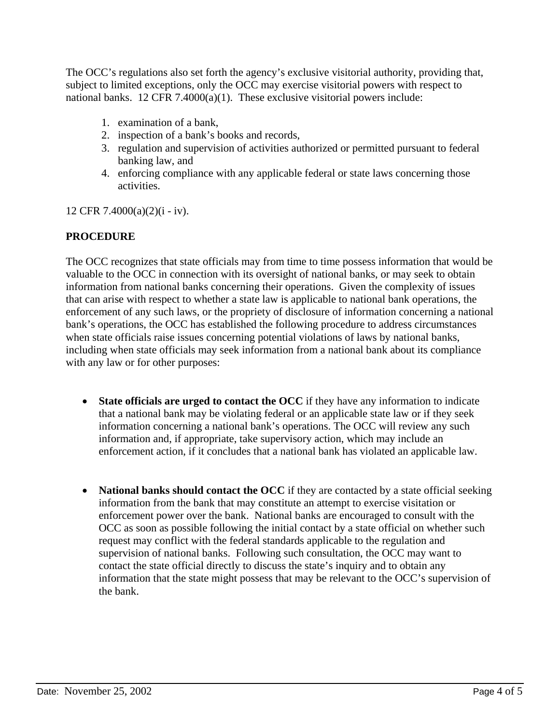The OCC's regulations also set forth the agency's exclusive visitorial authority, providing that, subject to limited exceptions, only the OCC may exercise visitorial powers with respect to national banks. 12 CFR 7.4000(a)(1). These exclusive visitorial powers include:

- 1. examination of a bank,
- 2. inspection of a bank's books and records,
- 3. regulation and supervision of activities authorized or permitted pursuant to federal banking law, and
- 4. enforcing compliance with any applicable federal or state laws concerning those activities.

12 CFR 7.4000(a)(2)(i - iv).

## **PROCEDURE**

The OCC recognizes that state officials may from time to time possess information that would be valuable to the OCC in connection with its oversight of national banks, or may seek to obtain information from national banks concerning their operations. Given the complexity of issues that can arise with respect to whether a state law is applicable to national bank operations, the enforcement of any such laws, or the propriety of disclosure of information concerning a national bank's operations, the OCC has established the following procedure to address circumstances when state officials raise issues concerning potential violations of laws by national banks, including when state officials may seek information from a national bank about its compliance with any law or for other purposes:

- **State officials are urged to contact the OCC** if they have any information to indicate that a national bank may be violating federal or an applicable state law or if they seek information concerning a national bank's operations. The OCC will review any such information and, if appropriate, take supervisory action, which may include an enforcement action, if it concludes that a national bank has violated an applicable law.
- National banks should contact the OCC if they are contacted by a state official seeking information from the bank that may constitute an attempt to exercise visitation or enforcement power over the bank. National banks are encouraged to consult with the OCC as soon as possible following the initial contact by a state official on whether such request may conflict with the federal standards applicable to the regulation and supervision of national banks. Following such consultation, the OCC may want to contact the state official directly to discuss the state's inquiry and to obtain any information that the state might possess that may be relevant to the OCC's supervision of the bank.